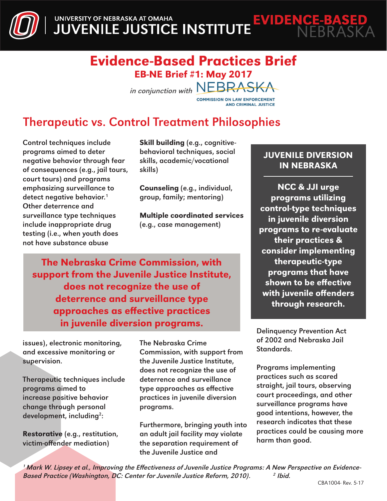UNIVERSITY OF NEBRASKA AT OMAHA<br>JUVENILE JUSTICE INSTITUTE **EVIDENCE-BASED** 

### Evidence-Based Practices Brief EB-NE Brief #1: May 2017

in conjunction with NEBRASKA

AND CRIMINAL JUSTICE

# Therapeutic vs. Control Treatment Philosophies

Control techniques include programs aimed to deter negative behavior through fear of consequences (e.g., jail tours, court tours) and programs emphasizing surveillance to detect negative behavior.<sup>1</sup> Other deterrence and surveillance type techniques include inappropriate drug testing (i.e., when youth does not have substance abuse

Skill building (e.g., cognitivebehavioral techniques, social skills, academic/vocational skills)

Counseling (e.g., individual, group, family; mentoring)

Multiple coordinated services (e.g., case management)

The Nebraska Crime Commission, with support from the Juvenile Justice Institute, does not recognize the use of deterrence and surveillance type approaches as effective practices in juvenile diversion programs.

issues), electronic monitoring, and excessive monitoring or supervision.

Therapeutic techniques include programs aimed to increase positive behavior change through personal development, including<sup>2</sup>:

Restorative (e.g., restitution, victim-offender mediation)

The Nebraska Crime Commission, with support from the Juvenile Justice Institute, does not recognize the use of deterrence and surveillance type approaches as effective practices in juvenile diversion programs.

Furthermore, bringing youth into an adult jail facility may violate the separation requirement of the Juvenile Justice and

#### JUVENILE DIVERSION IN NEBRASKA

NCC & JJI urge programs utilizing control-type techniques in juvenile diversion programs to re-evaluate their practices & consider implementing therapeutic-type programs that have shown to be effective with juvenile offenders through research.

Delinquency Prevention Act of 2002 and Nebraska Jail Standards.

Programs implementing practices such as scared straight, jail tours, observing court proceedings, and other surveillance programs have good intentions, however, the research indicates that these practices could be causing more harm than good.

1 Mark W. Lipsey et al., Improving the Effectiveness of Juvenile Justice Programs: A New Perspective on Evidence-Based Practice (Washington, DC: Center for Juvenile Justice Reform, 2010). 2 Ibid.